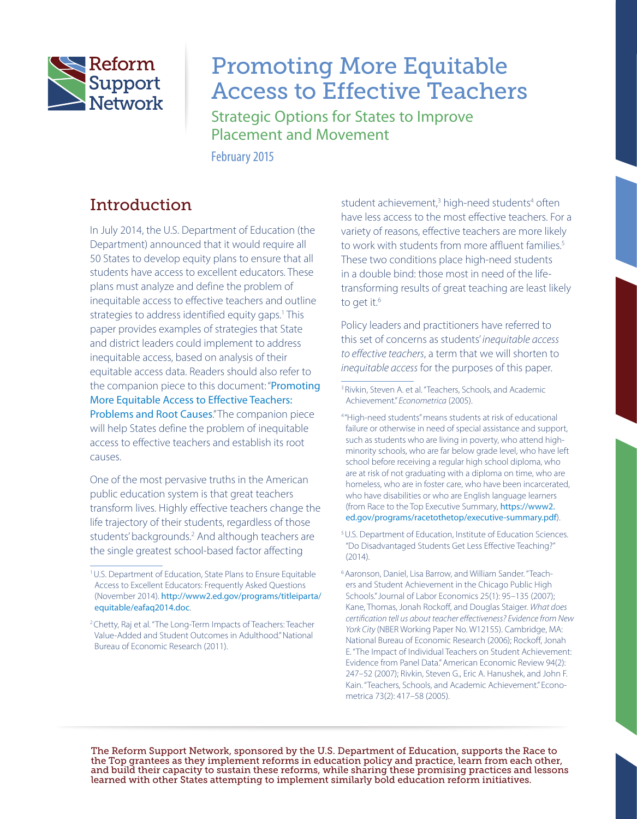

# Promoting More Equitable Access to Effective Teachers

Strategic Options for States to Improve Placement and Movement

February 2015

## Introduction

In July 2014, the U.S. Department of Education (the Department) announced that it would require all 50 States to develop equity plans to ensure that all students have access to excellent educators. These plans must analyze and define the problem of inequitable access to effective teachers and outline strategies to address identified equity gaps.<sup>1</sup> This paper provides examples of strategies that State and district leaders could implement to address inequitable access, based on analysis of their equitable access data. Readers should also refer to the companion piece to this document: "[Promoting](https://rtt.grads360.org/#communities/pdc/documents/7233)  [More Equitable Access to Effective Teachers:](https://rtt.grads360.org/#communities/pdc/documents/7233)  [Problems and Root Causes](https://rtt.grads360.org/#communities/pdc/documents/7233)." The companion piece will help States define the problem of inequitable access to effective teachers and establish its root causes.

One of the most pervasive truths in the American public education system is that great teachers transform lives. Highly effective teachers change the life trajectory of their students, regardless of those students' backgrounds.<sup>2</sup> And although teachers are the single greatest school-based factor affecting

student achievement,<sup>3</sup> high-need students<sup>4</sup> often have less access to the most effective teachers. For a variety of reasons, effective teachers are more likely to work with students from more affluent families.<sup>5</sup> These two conditions place high-need students in a double bind: those most in need of the lifetransforming results of great teaching are least likely to get it.<sup>6</sup>

Policy leaders and practitioners have referred to this set of concerns as students' *inequitable access to effective teachers*, a term that we will shorten to *inequitable access* for the purposes of this paper.

The Reform Support Network, sponsored by the U.S. Department of Education, supports the Race to the Top grantees as they implement reforms in education policy and practice, learn from each other, and build their capacity to sustain these reforms, while sharing these promising practices and lessons learned with other States attempting to implement similarly bold education reform initiatives.

<sup>1</sup>U.S. Department of Education, State Plans to Ensure Equitable Access to Excellent Educators: Frequently Asked Questions (November 2014). [http://www2.ed.gov/programs/titleiparta/](http://www2.ed.gov/programs/titleiparta/equitable/eafaq2014.doc) [equitable/eafaq2014.doc](http://www2.ed.gov/programs/titleiparta/equitable/eafaq2014.doc).

<sup>&</sup>lt;sup>2</sup> Chetty, Raj et al. "The Long-Term Impacts of Teachers: Teacher Value-Added and Student Outcomes in Adulthood." National Bureau of Economic Research (2011).

<sup>&</sup>lt;sup>3</sup> Rivkin, Steven A. et al. "Teachers, Schools, and Academic Achievement." *Econometrica* (2005).

<sup>4</sup> "High-need students" means students at risk of educational failure or otherwise in need of special assistance and support, such as students who are living in poverty, who attend highminority schools, who are far below grade level, who have left school before receiving a regular high school diploma, who are at risk of not graduating with a diploma on time, who are homeless, who are in foster care, who have been incarcerated, who have disabilities or who are English language learners (from Race to the Top Executive Summary, [https://www2.](https://www2.ed.gov/programs/racetothetop/executive-summary.pdf) [ed.gov/programs/racetothetop/executive-summary.pdf](https://www2.ed.gov/programs/racetothetop/executive-summary.pdf)).

<sup>&</sup>lt;sup>5</sup>U.S. Department of Education, Institute of Education Sciences. "Do Disadvantaged Students Get Less Effective Teaching?" (2014).

<sup>6</sup>Aaronson, Daniel, Lisa Barrow, and William Sander. "Teachers and Student Achievement in the Chicago Public High Schools." Journal of Labor Economics 25(1): 95–135 (2007); Kane, Thomas, Jonah Rockoff, and Douglas Staiger. *What does certification tell us about teacher effectiveness? Evidence from New York City* (NBER Working Paper No. W12155). Cambridge, MA: National Bureau of Economic Research (2006); Rockoff, Jonah E. "The Impact of Individual Teachers on Student Achievement: Evidence from Panel Data." American Economic Review 94(2): 247–52 (2007); Rivkin, Steven G., Eric A. Hanushek, and John F. Kain. "Teachers, Schools, and Academic Achievement." Econometrica 73(2): 417–58 (2005).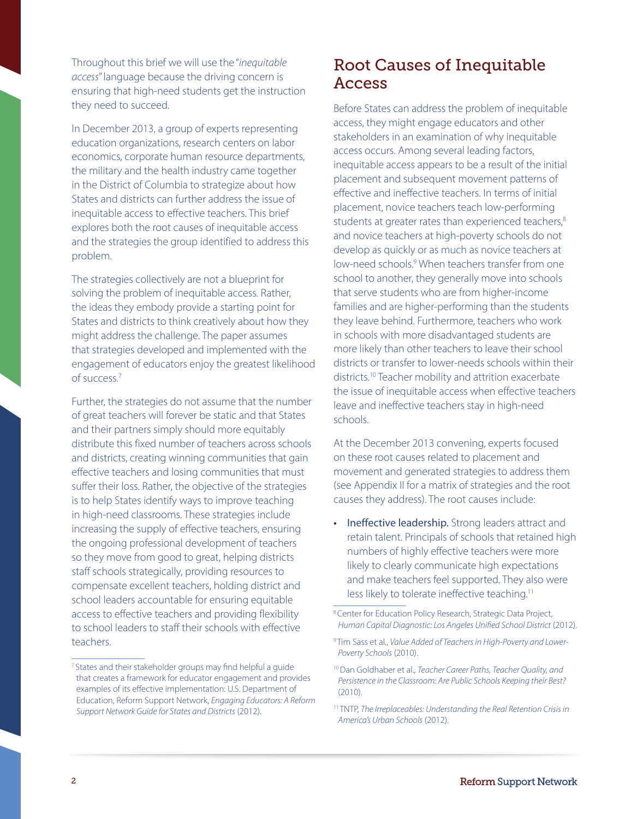Throughout this brief we will use the "*inequitable access*" language because the driving concern is ensuring that high-need students get the instruction they need to succeed.

In December 2013, a group of experts representing education organizations, research centers on labor economics, corporate human resource departments, the military and the health industry came together in the District of Columbia to strategize about how States and districts can further address the issue of inequitable access to effective teachers. This brief explores both the root causes of inequitable access and the strategies the group identified to address this problem.

The strategies collectively are not a blueprint for solving the problem of inequitable access. Rather, the ideas they embody provide a starting point for States and districts to think creatively about how they might address the challenge. The paper assumes that strategies developed and implemented with the engagement of educators enjoy the greatest likelihood of success.7

Further, the strategies do not assume that the number of great teachers will forever be static and that States and their partners simply should more equitably distribute this fixed number of teachers across schools and districts, creating winning communities that gain effective teachers and losing communities that must suffer their loss. Rather, the objective of the strategies is to help States identify ways to improve teaching in high-need classrooms. These strategies include increasing the supply of effective teachers, ensuring the ongoing professional development of teachers so they move from good to great, helping districts staff schools strategically, providing resources to compensate excellent teachers, holding district and school leaders accountable for ensuring equitable access to effective teachers and providing flexibility to school leaders to staff their schools with effective teachers.

## Root Causes of Inequitable Access

Before States can address the problem of inequitable access, they might engage educators and other stakeholders in an examination of why inequitable access occurs. Among several leading factors, inequitable access appears to be a result of the initial placement and subsequent movement patterns of effective and ineffective teachers. In terms of initial placement, novice teachers teach low-performing students at greater rates than experienced teachers,<sup>8</sup> and novice teachers at high-poverty schools do not develop as quickly or as much as novice teachers at low-need schools.<sup>9</sup> When teachers transfer from one school to another, they generally move into schools that serve students who are from higher-income families and are higher-performing than the students they leave behind. Furthermore, teachers who work in schools with more disadvantaged students are more likely than other teachers to leave their school districts or transfer to lower-needs schools within their districts.10 Teacher mobility and attrition exacerbate the issue of inequitable access when effective teachers leave and ineffective teachers stay in high-need schools.

At the December 2013 convening, experts focused on these root causes related to placement and movement and generated strategies to address them (see Appendix II for a matrix of strategies and the root causes they address). The root causes include:

Ineffective leadership. Strong leaders attract and retain talent. Principals of schools that retained high numbers of highly effective teachers were more likely to clearly communicate high expectations and make teachers feel supported. They also were less likely to tolerate ineffective teaching.<sup>11</sup>

<sup>&</sup>lt;sup>7</sup> States and their stakeholder groups may find helpful a guide that creates a framework for educator engagement and provides examples of its effective implementation: U.S. Department of Education, Reform Support Network, *Engaging Educators: A Reform Support Network Guide for States and Districts* (2012).

<sup>8</sup>Center for Education Policy Research, Strategic Data Project, *Human Capital Diagnostic: Los Angeles Unified School District* (2012).

<sup>9</sup> Tim Sass et al., *Value Added of Teachers in High-Poverty and Lower-Poverty Schools* (2010).

<sup>10</sup>Dan Goldhaber et al., *Teacher Career Paths, Teacher Quality, and Persistence in the Classroom: Are Public Schools Keeping their Best?* (2010).

<sup>11</sup> TNTP, *The Irreplaceables: Understanding the Real Retention Crisis in America's Urban Schools* (2012).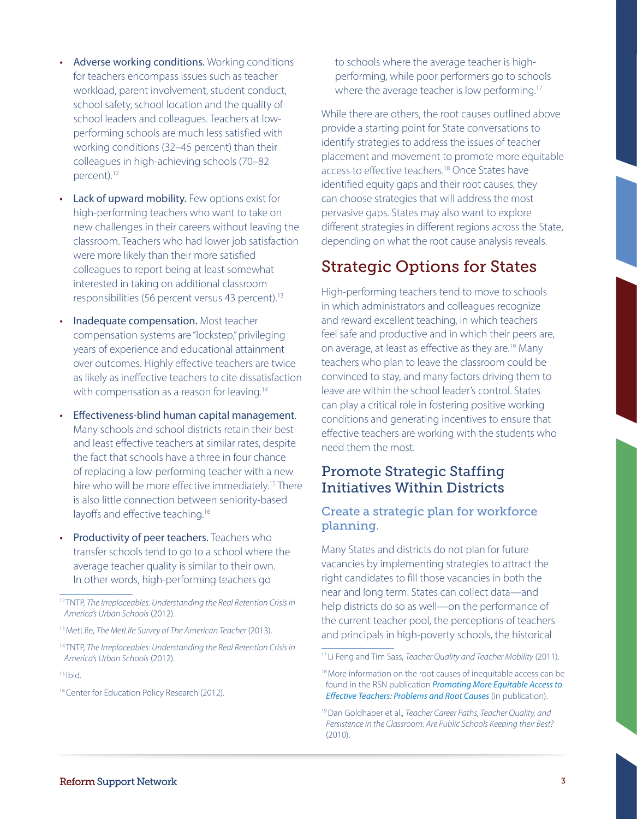- Adverse working conditions. Working conditions for teachers encompass issues such as teacher workload, parent involvement, student conduct, school safety, school location and the quality of school leaders and colleagues. Teachers at lowperforming schools are much less satisfied with working conditions (32–45 percent) than their colleagues in high-achieving schools (70–82 percent).12
- Lack of upward mobility. Few options exist for high-performing teachers who want to take on new challenges in their careers without leaving the classroom. Teachers who had lower job satisfaction were more likely than their more satisfied colleagues to report being at least somewhat interested in taking on additional classroom responsibilities (56 percent versus 43 percent).13
- Inadequate compensation. Most teacher compensation systems are "lockstep," privileging years of experience and educational attainment over outcomes. Highly effective teachers are twice as likely as ineffective teachers to cite dissatisfaction with compensation as a reason for leaving.<sup>14</sup>
- Effectiveness-blind human capital management. Many schools and school districts retain their best and least effective teachers at similar rates, despite the fact that schools have a three in four chance of replacing a low-performing teacher with a new hire who will be more effective immediately.15 There is also little connection between seniority-based layoffs and effective teaching.<sup>16</sup>
- **Productivity of peer teachers.** Teachers who transfer schools tend to go to a school where the average teacher quality is similar to their own. In other words, high-performing teachers go

 $15$  Ibid.

to schools where the average teacher is highperforming, while poor performers go to schools where the average teacher is low performing.<sup>17</sup>

While there are others, the root causes outlined above provide a starting point for State conversations to identify strategies to address the issues of teacher placement and movement to promote more equitable access to effective teachers.<sup>18</sup> Once States have identified equity gaps and their root causes, they can choose strategies that will address the most pervasive gaps. States may also want to explore different strategies in different regions across the State, depending on what the root cause analysis reveals.

## Strategic Options for States

High-performing teachers tend to move to schools in which administrators and colleagues recognize and reward excellent teaching, in which teachers feel safe and productive and in which their peers are, on average, at least as effective as they are.<sup>19</sup> Many teachers who plan to leave the classroom could be convinced to stay, and many factors driving them to leave are within the school leader's control. States can play a critical role in fostering positive working conditions and generating incentives to ensure that effective teachers are working with the students who need them the most.

### Promote Strategic Staffing Initiatives Within Districts

#### Create a strategic plan for workforce planning.

Many States and districts do not plan for future vacancies by implementing strategies to attract the right candidates to fill those vacancies in both the near and long term. States can collect data—and help districts do so as well—on the performance of the current teacher pool, the perceptions of teachers and principals in high-poverty schools, the historical

<sup>12</sup> TNTP, *The Irreplaceables: Understanding the Real Retention Crisis in America's Urban Schools* (2012).

<sup>&</sup>lt;sup>13</sup> MetLife, *The MetLife Survey of The American Teacher* (2013).

<sup>14</sup> TNTP, *The Irreplaceables: Understanding the Real Retention Crisis in America's Urban Schools* (2012).

<sup>&</sup>lt;sup>16</sup> Center for Education Policy Research (2012).

<sup>17</sup> Li Feng and Tim Sass, *Teacher Quality and Teacher Mobility* (2011).

<sup>&</sup>lt;sup>18</sup> More information on the root causes of inequitable access can be found in the RSN publication *[Promoting More Equitable Access to](https://rtt.grads360.org/#communities/pdc/documents/7233)  [Effective Teachers: Problems and Root Causes](https://rtt.grads360.org/#communities/pdc/documents/7233)* (in publication).

<sup>19</sup>Dan Goldhaber et al., *Teacher Career Paths, Teacher Quality, and Persistence in the Classroom: Are Public Schools Keeping their Best?*  (2010).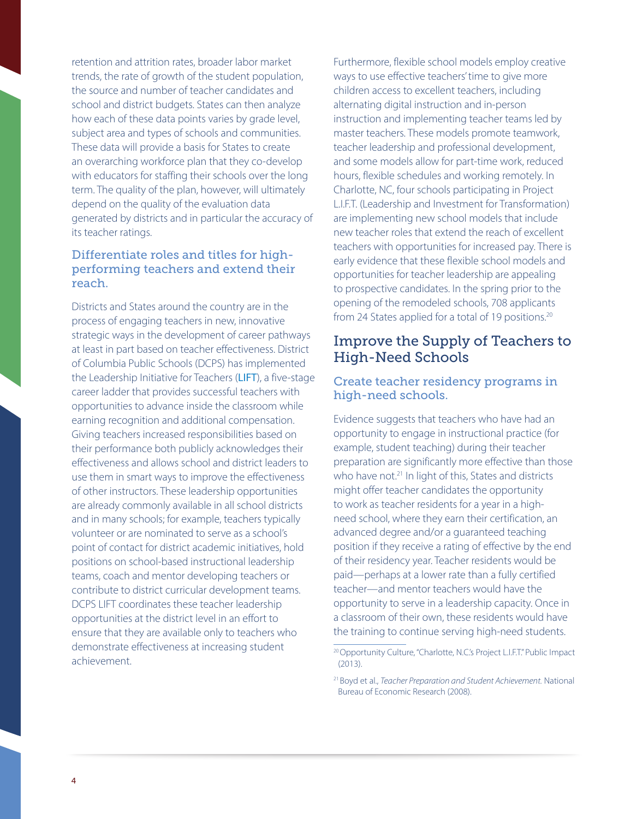retention and attrition rates, broader labor market trends, the rate of growth of the student population, the source and number of teacher candidates and school and district budgets. States can then analyze how each of these data points varies by grade level, subject area and types of schools and communities. These data will provide a basis for States to create an overarching workforce plan that they co-develop with educators for staffing their schools over the long term. The quality of the plan, however, will ultimately depend on the quality of the evaluation data generated by districts and in particular the accuracy of its teacher ratings.

#### Differentiate roles and titles for highperforming teachers and extend their reach.

Districts and States around the country are in the process of engaging teachers in new, innovative strategic ways in the development of career pathways at least in part based on teacher effectiveness. District of Columbia Public Schools (DCPS) has implemented the Leadership Initiative for Teachers ([LIFT](http://dc.gov/DCPS/In+the+Classroom/Ensuring+Teacher+Success/Leadership+Initiative+For+Teachers+%28LIFT%29)), a five-stage career ladder that provides successful teachers with opportunities to advance inside the classroom while earning recognition and additional compensation. Giving teachers increased responsibilities based on their performance both publicly acknowledges their effectiveness and allows school and district leaders to use them in smart ways to improve the effectiveness of other instructors. These leadership opportunities are already commonly available in all school districts and in many schools; for example, teachers typically volunteer or are nominated to serve as a school's point of contact for district academic initiatives, hold positions on school-based instructional leadership teams, coach and mentor developing teachers or contribute to district curricular development teams. DCPS LIFT coordinates these teacher leadership opportunities at the district level in an effort to ensure that they are available only to teachers who demonstrate effectiveness at increasing student achievement.

Furthermore, flexible school models employ creative ways to use effective teachers' time to give more children access to excellent teachers, including alternating digital instruction and in-person instruction and implementing teacher teams led by master teachers. These models promote teamwork, teacher leadership and professional development, and some models allow for part-time work, reduced hours, flexible schedules and working remotely. In Charlotte, NC, four schools participating in Project L.I.F.T. (Leadership and Investment for Transformation) are implementing new school models that include new teacher roles that extend the reach of excellent teachers with opportunities for increased pay. There is early evidence that these flexible school models and opportunities for teacher leadership are appealing to prospective candidates. In the spring prior to the opening of the remodeled schools, 708 applicants from 24 States applied for a total of 19 positions.<sup>20</sup>

### Improve the Supply of Teachers to High-Need Schools

#### Create teacher residency programs in high-need schools.

Evidence suggests that teachers who have had an opportunity to engage in instructional practice (for example, student teaching) during their teacher preparation are significantly more effective than those who have not.<sup>21</sup> In light of this, States and districts might offer teacher candidates the opportunity to work as teacher residents for a year in a highneed school, where they earn their certification, an advanced degree and/or a guaranteed teaching position if they receive a rating of effective by the end of their residency year. Teacher residents would be paid—perhaps at a lower rate than a fully certified teacher—and mentor teachers would have the opportunity to serve in a leadership capacity. Once in a classroom of their own, these residents would have the training to continue serving high-need students.

<sup>&</sup>lt;sup>20</sup> Opportunity Culture, "Charlotte, N.C.'s Project L.I.F.T." Public Impact (2013).

<sup>21</sup> Boyd et al., *Teacher Preparation and Student Achievement.* National Bureau of Economic Research (2008).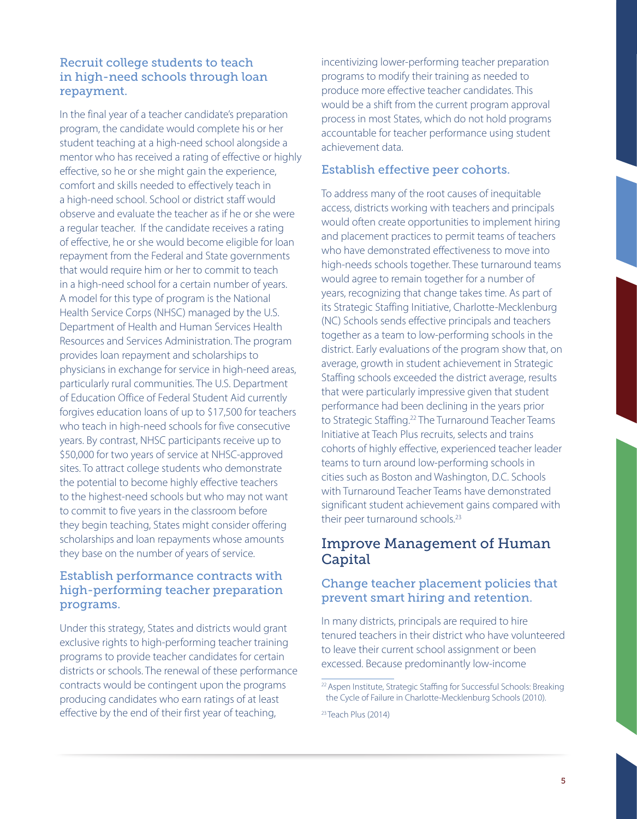#### Recruit college students to teach in high-need schools through loan repayment.

In the final year of a teacher candidate's preparation program, the candidate would complete his or her student teaching at a high-need school alongside a mentor who has received a rating of effective or highly effective, so he or she might gain the experience, comfort and skills needed to effectively teach in a high-need school. School or district staff would observe and evaluate the teacher as if he or she were a regular teacher. If the candidate receives a rating of effective, he or she would become eligible for loan repayment from the Federal and State governments that would require him or her to commit to teach in a high-need school for a certain number of years. A model for this type of program is the National Health Service Corps (NHSC) managed by the U.S. Department of Health and Human Services Health Resources and Services Administration. The program provides loan repayment and scholarships to physicians in exchange for service in high-need areas, particularly rural communities. The U.S. Department of Education Office of Federal Student Aid currently forgives education loans of up to \$17,500 for teachers who teach in high-need schools for five consecutive years. By contrast, NHSC participants receive up to \$50,000 for two years of service at NHSC-approved sites. To attract college students who demonstrate the potential to become highly effective teachers to the highest-need schools but who may not want to commit to five years in the classroom before they begin teaching, States might consider offering scholarships and loan repayments whose amounts they base on the number of years of service.

#### Establish performance contracts with high-performing teacher preparation programs.

Under this strategy, States and districts would grant exclusive rights to high-performing teacher training programs to provide teacher candidates for certain districts or schools. The renewal of these performance contracts would be contingent upon the programs producing candidates who earn ratings of at least effective by the end of their first year of teaching,

incentivizing lower-performing teacher preparation programs to modify their training as needed to produce more effective teacher candidates. This would be a shift from the current program approval process in most States, which do not hold programs accountable for teacher performance using student achievement data.

#### Establish effective peer cohorts.

To address many of the root causes of inequitable access, districts working with teachers and principals would often create opportunities to implement hiring and placement practices to permit teams of teachers who have demonstrated effectiveness to move into high-needs schools together. These turnaround teams would agree to remain together for a number of years, recognizing that change takes time. As part of its Strategic Staffing Initiative, Charlotte-Mecklenburg (NC) Schools sends effective principals and teachers together as a team to low-performing schools in the district. Early evaluations of the program show that, on average, growth in student achievement in Strategic Staffing schools exceeded the district average, results that were particularly impressive given that student performance had been declining in the years prior to Strategic Staffing.<sup>22</sup> The Turnaround Teacher Teams Initiative at Teach Plus recruits, selects and trains cohorts of highly effective, experienced teacher leader teams to turn around low-performing schools in cities such as Boston and Washington, D.C. Schools with Turnaround Teacher Teams have demonstrated significant student achievement gains compared with their peer turnaround schools.<sup>23</sup>

### Improve Management of Human **Capital**

#### Change teacher placement policies that prevent smart hiring and retention.

In many districts, principals are required to hire tenured teachers in their district who have volunteered to leave their current school assignment or been excessed. Because predominantly low-income

<sup>&</sup>lt;sup>22</sup> Aspen Institute, Strategic Staffing for Successful Schools: Breaking the Cycle of Failure in Charlotte-Mecklenburg Schools (2010).

<sup>&</sup>lt;sup>23</sup> Teach Plus (2014)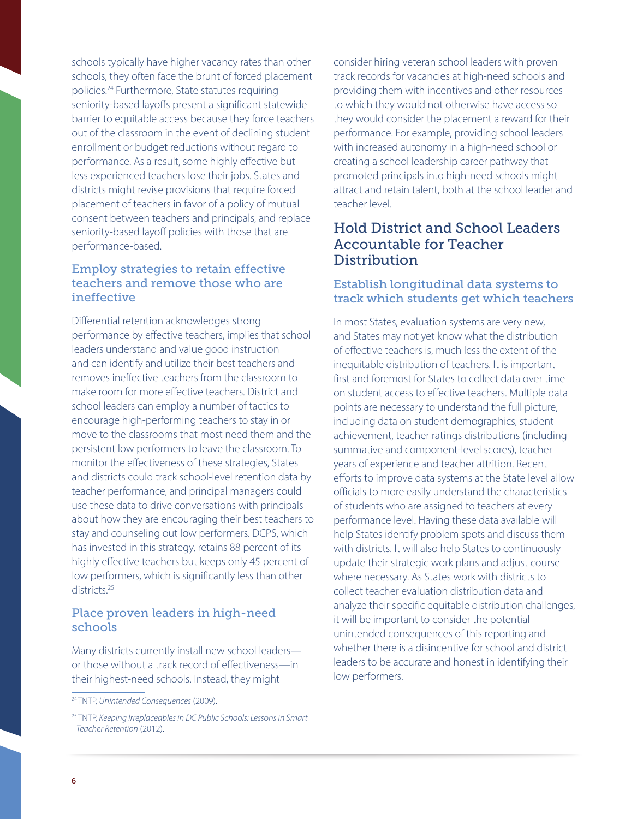schools typically have higher vacancy rates than other schools, they often face the brunt of forced placement policies. 24 Furthermore, State statutes requiring seniority-based layoffs present a significant statewide barrier to equitable access because they force teachers out of the classroom in the event of declining student enrollment or budget reductions without regard to performance. As a result, some highly effective but less experienced teachers lose their jobs. States and districts might revise provisions that require forced placement of teachers in favor of a policy of mutual consent between teachers and principals, and replace seniority-based layoff policies with those that are performance-based.

#### Employ strategies to retain effective teachers and remove those who are ineffective

Differential retention acknowledges strong performance by effective teachers, implies that school leaders understand and value good instruction and can identify and utilize their best teachers and removes ineffective teachers from the classroom to make room for more effective teachers. District and school leaders can employ a number of tactics to encourage high-performing teachers to stay in or move to the classrooms that most need them and the persistent low performers to leave the classroom. To monitor the effectiveness of these strategies, States and districts could track school-level retention data by teacher performance, and principal managers could use these data to drive conversations with principals about how they are encouraging their best teachers to stay and counseling out low performers. DCPS, which has invested in this strategy, retains 88 percent of its highly effective teachers but keeps only 45 percent of low performers, which is significantly less than other districts.<sup>25</sup>

#### Place proven leaders in high-need schools

Many districts currently install new school leaders or those without a track record of effectiveness—in their highest-need schools. Instead, they might

consider hiring veteran school leaders with proven track records for vacancies at high-need schools and providing them with incentives and other resources to which they would not otherwise have access so they would consider the placement a reward for their performance. For example, providing school leaders with increased autonomy in a high-need school or creating a school leadership career pathway that promoted principals into high-need schools might attract and retain talent, both at the school leader and teacher level.

### Hold District and School Leaders Accountable for Teacher **Distribution**

#### Establish longitudinal data systems to track which students get which teachers

In most States, evaluation systems are very new, and States may not yet know what the distribution of effective teachers is, much less the extent of the inequitable distribution of teachers. It is important first and foremost for States to collect data over time on student access to effective teachers. Multiple data points are necessary to understand the full picture, including data on student demographics, student achievement, teacher ratings distributions (including summative and component-level scores), teacher years of experience and teacher attrition. Recent efforts to improve data systems at the State level allow officials to more easily understand the characteristics of students who are assigned to teachers at every performance level. Having these data available will help States identify problem spots and discuss them with districts. It will also help States to continuously update their strategic work plans and adjust course where necessary. As States work with districts to collect teacher evaluation distribution data and analyze their specific equitable distribution challenges, it will be important to consider the potential unintended consequences of this reporting and whether there is a disincentive for school and district leaders to be accurate and honest in identifying their low performers.

<sup>24</sup> TNTP, *Unintended Consequences* (2009).

<sup>25</sup> TNTP, *Keeping Irreplaceables in DC Public Schools: Lessons in Smart Teacher Retention* (2012).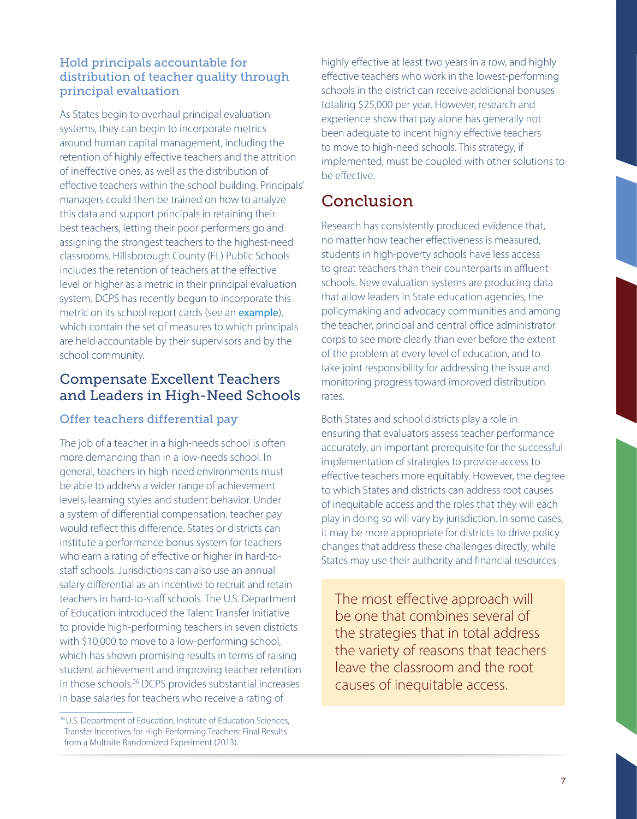#### Hold principals accountable for distribution of teacher quality through principal evaluation

As States begin to overhaul principal evaluation systems, they can begin to incorporate metrics around human capital management, including the retention of highly effective teachers and the attrition of ineffective ones, as well as the distribution of effective teachers within the school building. Principals' managers could then be trained on how to analyze this data and support principals in retaining their best teachers, letting their poor performers go and assigning the strongest teachers to the highest-need classrooms. Hillsborough County (FL) Public Schools includes the retention of teachers at the effective level or higher as a metric in their principal evaluation system. DCPS has recently begun to incorporate this metric on its school report cards (see an [example](http://profiles.dcps.dc.gov/pdf/202_2013.pdf)), which contain the set of measures to which principals are held accountable by their supervisors and by the school community.

### Compensate Excellent Teachers and Leaders in High-Need Schools

### Offer teachers differential pay

The job of a teacher in a high-needs school is often more demanding than in a low-needs school. In general, teachers in high-need environments must be able to address a wider range of achievement levels, learning styles and student behavior. Under a system of differential compensation, teacher pay would reflect this difference. States or districts can institute a performance bonus system for teachers who earn a rating of effective or higher in hard-tostaff schools. Jurisdictions can also use an annual salary differential as an incentive to recruit and retain teachers in hard-to-staff schools. The U.S. Department of Education introduced the Talent Transfer Initiative to provide high-performing teachers in seven districts with \$10,000 to move to a low-performing school, which has shown promising results in terms of raising student achievement and improving teacher retention in those schools.26 DCPS provides substantial increases in base salaries for teachers who receive a rating of

highly effective at least two years in a row, and highly effective teachers who work in the lowest-performing schools in the district can receive additional bonuses totaling \$25,000 per year. However, research and experience show that pay alone has generally not been adequate to incent highly effective teachers to move to high-need schools. This strategy, if implemented, must be coupled with other solutions to be effective.

## Conclusion

Research has consistently produced evidence that, no matter how teacher effectiveness is measured, students in high-poverty schools have less access to great teachers than their counterparts in affluent schools. New evaluation systems are producing data that allow leaders in State education agencies, the policymaking and advocacy communities and among the teacher, principal and central office administrator corps to see more clearly than ever before the extent of the problem at every level of education, and to take joint responsibility for addressing the issue and monitoring progress toward improved distribution rates.

Both States and school districts play a role in ensuring that evaluators assess teacher performance accurately, an important prerequisite for the successful implementation of strategies to provide access to effective teachers more equitably. However, the degree to which States and districts can address root causes of inequitable access and the roles that they will each play in doing so will vary by jurisdiction. In some cases, it may be more appropriate for districts to drive policy changes that address these challenges directly, while States may use their authority and financial resources

The most effective approach will be one that combines several of the strategies that in total address the variety of reasons that teachers leave the classroom and the root causes of inequitable access.

<sup>26</sup>U.S. Department of Education, Institute of Education Sciences, Transfer Incentives for High-Performing Teachers: Final Results from a Multisite Randomized Experiment (2013).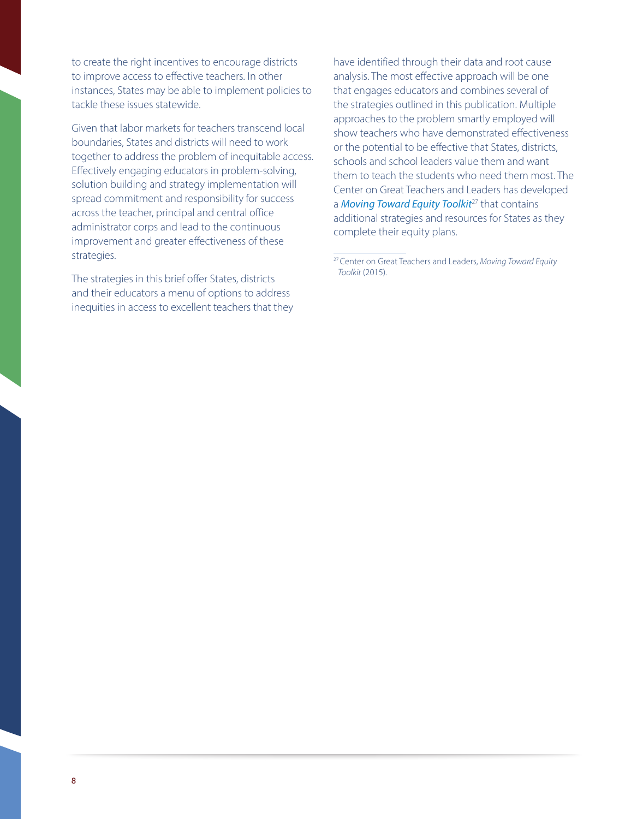to create the right incentives to encourage districts to improve access to effective teachers. In other instances, States may be able to implement policies to tackle these issues statewide.

Given that labor markets for teachers transcend local boundaries, States and districts will need to work together to address the problem of inequitable access. Effectively engaging educators in problem-solving, solution building and strategy implementation will spread commitment and responsibility for success across the teacher, principal and central office administrator corps and lead to the continuous improvement and greater effectiveness of these strategies.

The strategies in this brief offer States, districts and their educators a menu of options to address inequities in access to excellent teachers that they have identified through their data and root cause analysis. The most effective approach will be one that engages educators and combines several of the strategies outlined in this publication. Multiple approaches to the problem smartly employed will show teachers who have demonstrated effectiveness or the potential to be effective that States, districts, schools and school leaders value them and want them to teach the students who need them most. The Center on Great Teachers and Leaders has developed a *[Moving Toward Equity Toolkit](http://www.gtlcenter.org/learning-hub/equitable-access-toolkit/moving-toward-equity)<sup>27</sup>* that contains additional strategies and resources for States as they complete their equity plans.

<sup>27</sup>Center on Great Teachers and Leaders, *Moving Toward Equity Toolkit* (2015).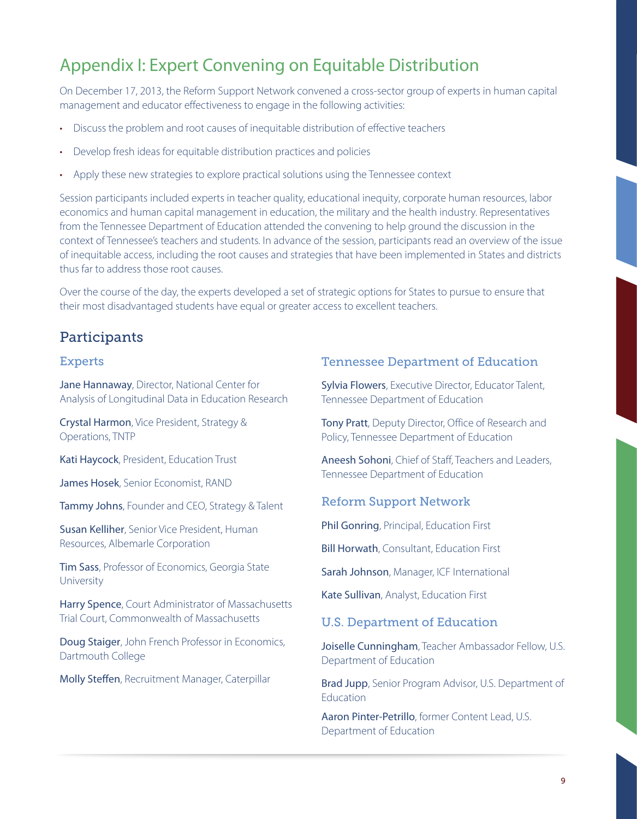## Appendix I: Expert Convening on Equitable Distribution

On December 17, 2013, the Reform Support Network convened a cross-sector group of experts in human capital management and educator effectiveness to engage in the following activities:

- Discuss the problem and root causes of inequitable distribution of effective teachers
- Develop fresh ideas for equitable distribution practices and policies
- Apply these new strategies to explore practical solutions using the Tennessee context

Session participants included experts in teacher quality, educational inequity, corporate human resources, labor economics and human capital management in education, the military and the health industry. Representatives from the Tennessee Department of Education attended the convening to help ground the discussion in the context of Tennessee's teachers and students. In advance of the session, participants read an overview of the issue of inequitable access, including the root causes and strategies that have been implemented in States and districts thus far to address those root causes.

Over the course of the day, the experts developed a set of strategic options for States to pursue to ensure that their most disadvantaged students have equal or greater access to excellent teachers.

## **Participants**

#### Experts

Jane Hannaway, Director, National Center for Analysis of Longitudinal Data in Education Research

Crystal Harmon, Vice President, Strategy & Operations, TNTP

Kati Haycock, President, Education Trust

James Hosek, Senior Economist, RAND

Tammy Johns, Founder and CEO, Strategy & Talent

Susan Kelliher, Senior Vice President, Human Resources, Albemarle Corporation

Tim Sass, Professor of Economics, Georgia State University

Harry Spence, Court Administrator of Massachusetts Trial Court, Commonwealth of Massachusetts

Doug Staiger, John French Professor in Economics, Dartmouth College

Molly Steffen, Recruitment Manager, Caterpillar

#### Tennessee Department of Education

Sylvia Flowers, Executive Director, Educator Talent, Tennessee Department of Education

Tony Pratt, Deputy Director, Office of Research and Policy, Tennessee Department of Education

Aneesh Sohoni, Chief of Staff, Teachers and Leaders, Tennessee Department of Education

#### Reform Support Network

Phil Gonring, Principal, Education First

Bill Horwath, Consultant, Education First

Sarah Johnson, Manager, ICF International

Kate Sullivan, Analyst, Education First

#### U.S. Department of Education

Joiselle Cunningham, Teacher Ambassador Fellow, U.S. Department of Education

Brad Jupp, Senior Program Advisor, U.S. Department of **Education** 

Aaron Pinter-Petrillo, former Content Lead, U.S. Department of Education